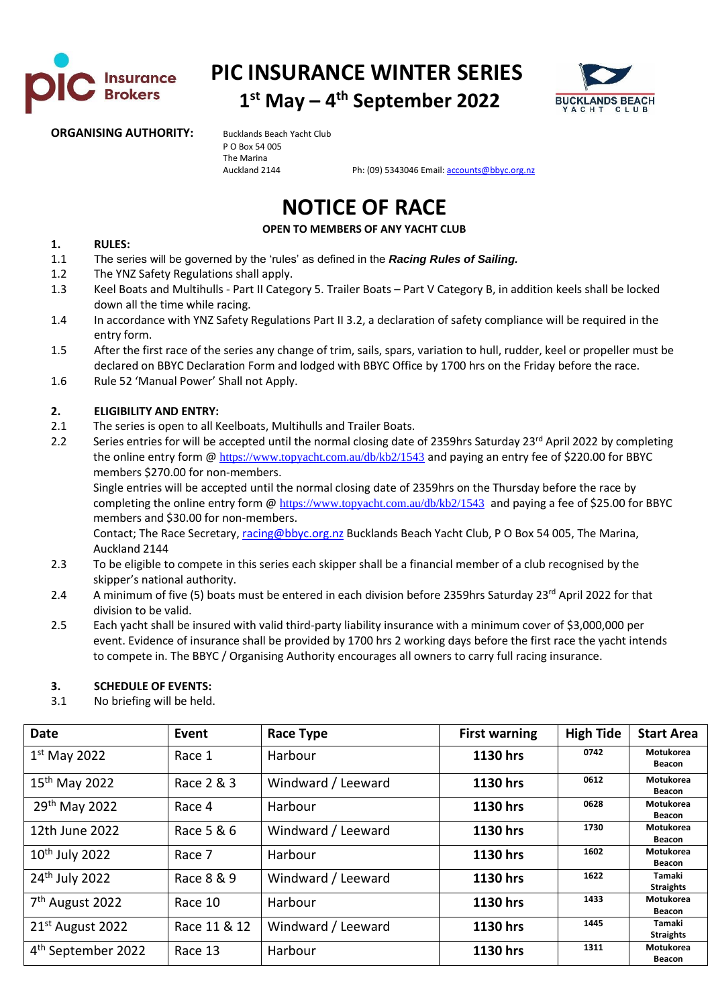

**PIC INSURANCE WINTER SERIES 1 st May – 4 th September 2022**



#### **ORGANISING AUTHORITY:** Bucklands Beach Yacht Club

P O Box 54 005 The Marina

Auckland 2144 Ph: (09) 5343046 Email[: accounts@bbyc.org.nz](mailto:accounts@bbyc.org.nz)

# **NOTICE OF RACE**

**OPEN TO MEMBERS OF ANY YACHT CLUB**

#### **1. RULES:**

- 1.1 The series will be governed by the 'rules' as defined in the *Racing Rules of Sailing.*
- 1.2 The YNZ Safety Regulations shall apply.
- 1.3 Keel Boats and Multihulls Part II Category 5. Trailer Boats Part V Category B, in addition keels shall be locked down all the time while racing.
- 1.4 In accordance with YNZ Safety Regulations Part II 3.2, a declaration of safety compliance will be required in the entry form.
- 1.5 After the first race of the series any change of trim, sails, spars, variation to hull, rudder, keel or propeller must be declared on BBYC Declaration Form and lodged with BBYC Office by 1700 hrs on the Friday before the race.
- 1.6 Rule 52 'Manual Power' Shall not Apply.

#### **2. ELIGIBILITY AND ENTRY:**

- 2.1 The series is open to all Keelboats, Multihulls and Trailer Boats.
- 2.2 Series entries for will be accepted until the normal closing date of 2359hrs Saturday 23<sup>rd</sup> April 2022 by completing the online entry form @ <https://www.topyacht.com.au/db/kb2/1543> and paying an entry fee of \$220.00 for BBYC members \$270.00 for non-members.

Single entries will be accepted until the normal closing date of 2359hrs on the Thursday before the race by completing the online entry form @ <https://www.topyacht.com.au/db/kb2/1543> and paying a fee of \$25.00 for BBYC members and \$30.00 for non-members.

Contact; The Race Secretary[, racing@bbyc.org.nz](mailto:racing@bbyc.org.nz) Bucklands Beach Yacht Club, P O Box 54 005, The Marina, Auckland 2144

- 2.3 To be eligible to compete in this series each skipper shall be a financial member of a club recognised by the skipper's national authority.
- 2.4 A minimum of five (5) boats must be entered in each division before 2359hrs Saturday 23<sup>rd</sup> April 2022 for that division to be valid.
- 2.5 Each yacht shall be insured with valid third-party liability insurance with a minimum cover of \$3,000,000 per event. Evidence of insurance shall be provided by 1700 hrs 2 working days before the first race the yacht intends to compete in. The BBYC / Organising Authority encourages all owners to carry full racing insurance.

#### **3. SCHEDULE OF EVENTS:**

3.1 No briefing will be held.

| <b>Date</b>                    | Event        | <b>Race Type</b>   | <b>First warning</b> | <b>High Tide</b> | <b>Start Area</b>                 |
|--------------------------------|--------------|--------------------|----------------------|------------------|-----------------------------------|
| $1st$ May 2022                 | Race 1       | Harbour            | 1130 hrs             | 0742             | <b>Motukorea</b><br><b>Beacon</b> |
| 15 <sup>th</sup> May 2022      | Race 2 & 3   | Windward / Leeward | 1130 hrs             | 0612             | <b>Motukorea</b><br>Beacon        |
| 29 <sup>th</sup> May 2022      | Race 4       | Harbour            | 1130 hrs             | 0628             | <b>Motukorea</b><br><b>Beacon</b> |
| 12th June 2022                 | Race 5 & 6   | Windward / Leeward | 1130 hrs             | 1730             | Motukorea<br>Beacon               |
| $10th$ July 2022               | Race 7       | Harbour            | 1130 hrs             | 1602             | <b>Motukorea</b><br><b>Beacon</b> |
| 24 <sup>th</sup> July 2022     | Race 8 & 9   | Windward / Leeward | 1130 hrs             | 1622             | Tamaki<br><b>Straights</b>        |
| 7 <sup>th</sup> August 2022    | Race 10      | Harbour            | 1130 hrs             | 1433             | <b>Motukorea</b><br><b>Beacon</b> |
| $21st$ August 2022             | Race 11 & 12 | Windward / Leeward | 1130 hrs             | 1445             | Tamaki<br><b>Straights</b>        |
| 4 <sup>th</sup> September 2022 | Race 13      | Harbour            | 1130 hrs             | 1311             | <b>Motukorea</b><br>Beacon        |